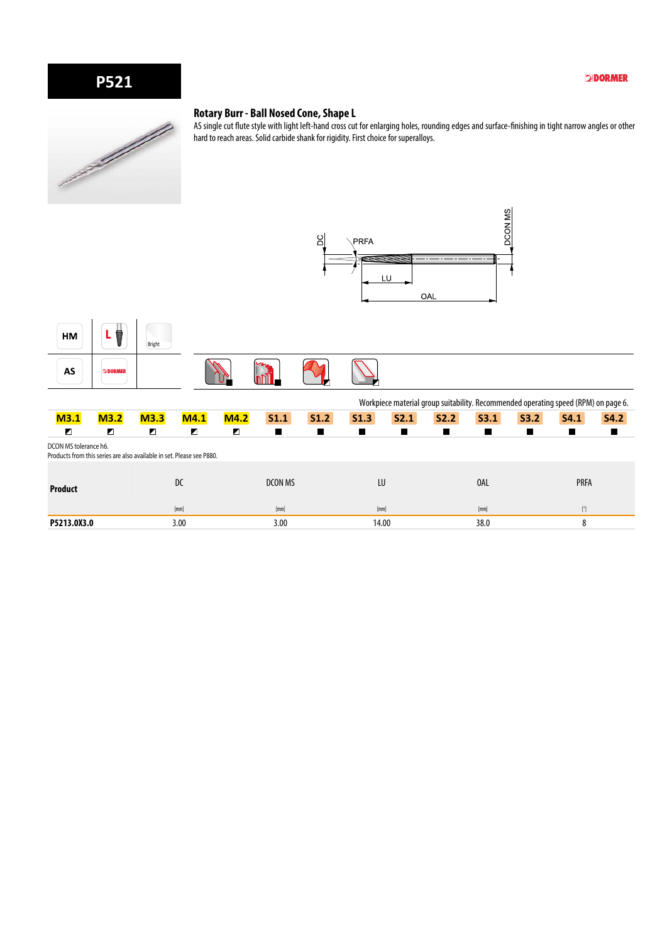# **P521**

#### **DDORMER**



#### **Rotary Burr - Ball Nosed Cone, Shape L**

AS single cut flute style with light left-hand cross cut for enlarging holes, rounding edges and surface-finishing in tight narrow angles or other hard to reach areas. Solid carbide shank for rigidity. First choice for superalloys.





|                                                                                                |      |      |      |      |         |                  |       |      |      |      | Workpiece material group suitability. Recommended operating speed (RPM) on page 6. |             |             |
|------------------------------------------------------------------------------------------------|------|------|------|------|---------|------------------|-------|------|------|------|------------------------------------------------------------------------------------|-------------|-------------|
| M3.1                                                                                           | M3.2 | M3.3 | M4.1 | M4.2 | S1.1    | S <sub>1.2</sub> | S1.3  | S2.1 | S2.2 | S3.1 | S3.2                                                                               | S4.1        | <b>S4.2</b> |
| ◪                                                                                              | Z    | Z    | Z    | Ζ    |         |                  |       |      |      |      |                                                                                    | a sa        | п           |
| DCON MS tolerance h6.<br>Products from this series are also available in set. Please see P880. |      |      |      |      |         |                  |       |      |      |      |                                                                                    |             |             |
| <b>Product</b>                                                                                 |      |      | DC   |      | DCON MS |                  | LU    |      |      | 0AL  |                                                                                    | <b>PRFA</b> |             |
|                                                                                                |      |      | [mm] |      | [mm]    |                  | [mm]  |      |      | [mm] |                                                                                    | [°]         |             |
| P5213.0X3.0                                                                                    |      |      | 3.00 |      | 3.00    |                  | 14.00 |      |      | 38.0 |                                                                                    | 8           |             |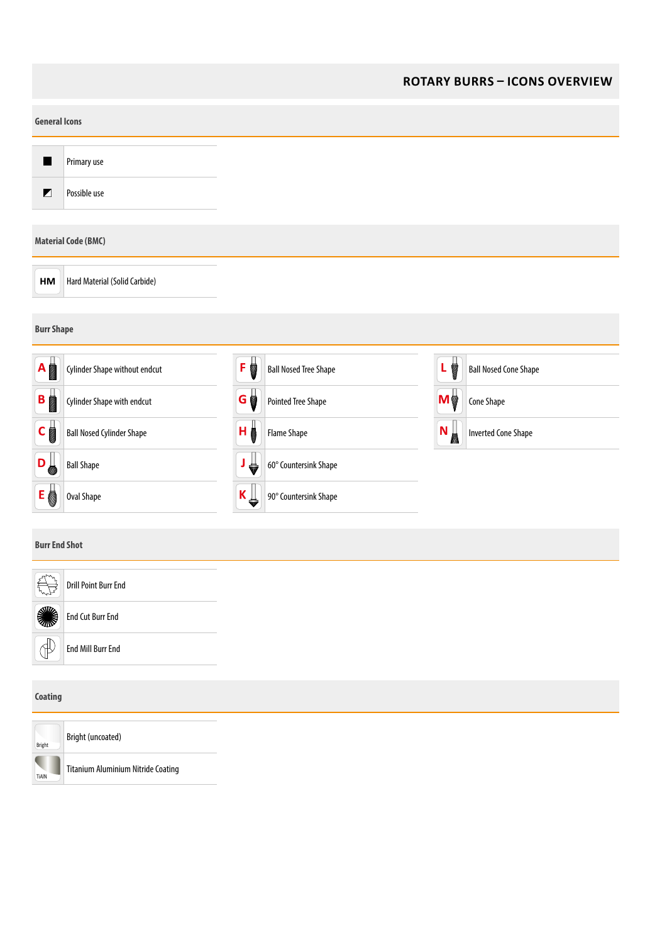#### **ROTARY BURRS – ICONS OVERVIEW**

|                      | <b>General Icons</b>             |                   |                              |               |                              |  |  |  |
|----------------------|----------------------------------|-------------------|------------------------------|---------------|------------------------------|--|--|--|
|                      | Primary use                      |                   |                              |               |                              |  |  |  |
| $\blacksquare$       | Possible use                     |                   |                              |               |                              |  |  |  |
|                      | <b>Material Code (BMC)</b>       |                   |                              |               |                              |  |  |  |
| HM                   | Hard Material (Solid Carbide)    |                   |                              |               |                              |  |  |  |
| <b>Burr Shape</b>    |                                  |                   |                              |               |                              |  |  |  |
| A                    | Cylinder Shape without endcut    | F                 | <b>Ball Nosed Tree Shape</b> | L             | <b>Ball Nosed Cone Shape</b> |  |  |  |
| B                    | Cylinder Shape with endcut       | G                 | <b>Pointed Tree Shape</b>    | Mø            | Cone Shape                   |  |  |  |
| $\mathsf{C}$         | <b>Ball Nosed Cylinder Shape</b> | (H <mark>≬</mark> | Flame Shape                  | $(N_{\rm s})$ | <b>Inverted Cone Shape</b>   |  |  |  |
| D                    | <b>Ball Shape</b>                | ₩                 | 60° Countersink Shape        |               |                              |  |  |  |
| E                    | <b>Oval Shape</b>                | K ∬               | 90° Countersink Shape        |               |                              |  |  |  |
| <b>Burr End Shot</b> |                                  |                   |                              |               |                              |  |  |  |

| $\sim$<br>ملهلا      | Drill Point Burr End    |
|----------------------|-------------------------|
| S                    | <b>End Cut Burr End</b> |
| $\triangleright$<br> | End Mill Burr End       |
| Coating              |                         |



Bright (uncoated) Titanium Aluminium Nitride Coating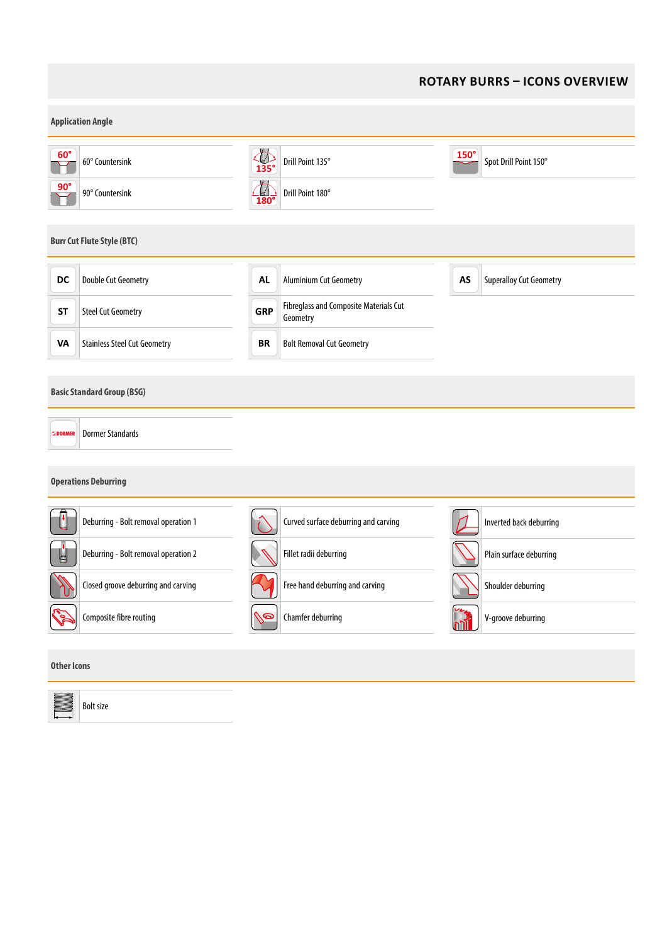### **ROTARY BURRS – ICONS OVERVIEW**

| <b>Application Angle</b> |                                                                                             |                                                                         |                                      |  |  |  |  |
|--------------------------|---------------------------------------------------------------------------------------------|-------------------------------------------------------------------------|--------------------------------------|--|--|--|--|
| $60^\circ$               | 60° Countersink                                                                             | $\overline{\mathcal{L}}$<br>135°<br>Drill Point 135°                    | $150^\circ$<br>Spot Drill Point 150° |  |  |  |  |
| $90^\circ$               | 90° Countersink                                                                             | $\frac{1}{180}$<br>Drill Point 180°                                     |                                      |  |  |  |  |
|                          | <b>Burr Cut Flute Style (BTC)</b>                                                           |                                                                         |                                      |  |  |  |  |
| DC                       | <b>Double Cut Geometry</b>                                                                  | <b>AL</b><br><b>Aluminium Cut Geometry</b>                              | AS<br><b>Superalloy Cut Geometry</b> |  |  |  |  |
| <b>ST</b>                | <b>Steel Cut Geometry</b>                                                                   | <b>Fibreglass and Composite Materials Cut</b><br><b>GRP</b><br>Geometry |                                      |  |  |  |  |
| VA                       | <b>Stainless Steel Cut Geometry</b>                                                         | <b>Bolt Removal Cut Geometry</b><br>BR                                  |                                      |  |  |  |  |
| <b>DORMER</b>            | <b>Basic Standard Group (BSG)</b><br><b>Dormer Standards</b><br><b>Operations Deburring</b> |                                                                         |                                      |  |  |  |  |
|                          | Deburring - Bolt removal operation 1                                                        | Curved surface deburring and carving                                    | Inverted back deburring              |  |  |  |  |
| ⊌                        | Deburring - Bolt removal operation 2                                                        | Fillet radii deburring                                                  | Plain surface deburring              |  |  |  |  |
|                          | Closed groove deburring and carving                                                         | Free hand deburring and carving                                         | Shoulder deburring                   |  |  |  |  |
|                          | Composite fibre routing                                                                     | Chamfer deburring<br>(/©                                                | V-groove deburring<br>m              |  |  |  |  |
| <b>Other Icons</b>       |                                                                                             |                                                                         |                                      |  |  |  |  |
|                          | <b>Bolt size</b>                                                                            |                                                                         |                                      |  |  |  |  |

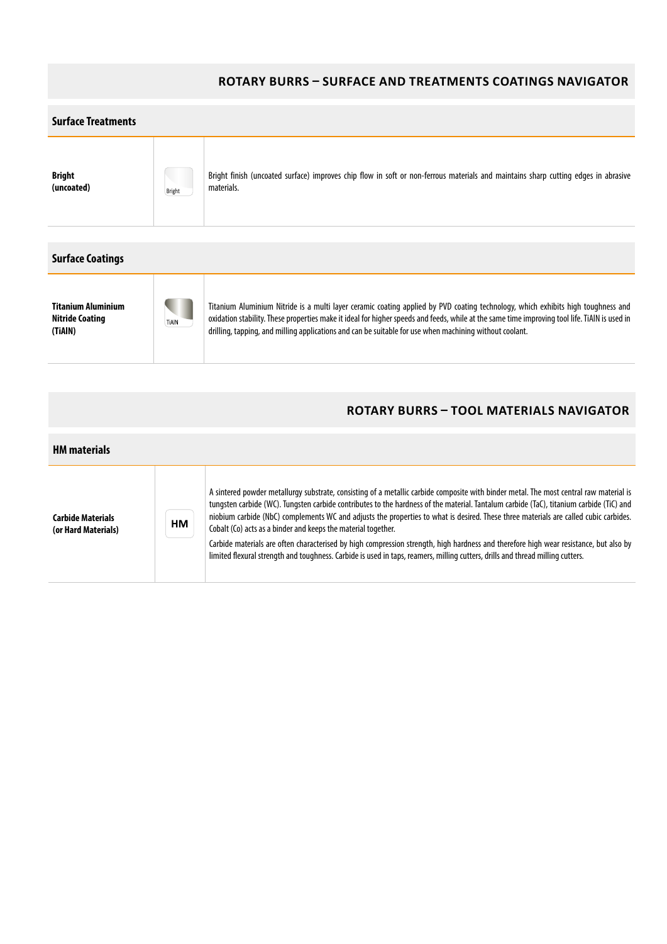#### **ROTARY BURRS – SURFACE AND TREATMENTS COATINGS NAVIGATOR**



A sintered powder metallurgy substrate, consisting of a metallic carbide composite with binder metal. The most central raw material is tungsten carbide (WC). Tungsten carbide contributes to the hardness of the material. Tantalum carbide (TaC), titanium carbide (TiC) and niobium carbide (NbC) complements WC and adjusts the properties to what is desired. These three materials are called cubic carbides. **Carbide Materials**  HM Cobalt (Co) acts as a binder and keeps the material together. **(or Hard Materials)** Carbide materials are often characterised by high compression strength, high hardness and therefore high wear resistance, but also by limited flexural strength and toughness. Carbide is used in taps, reamers, milling cutters, drills and thread milling cutters.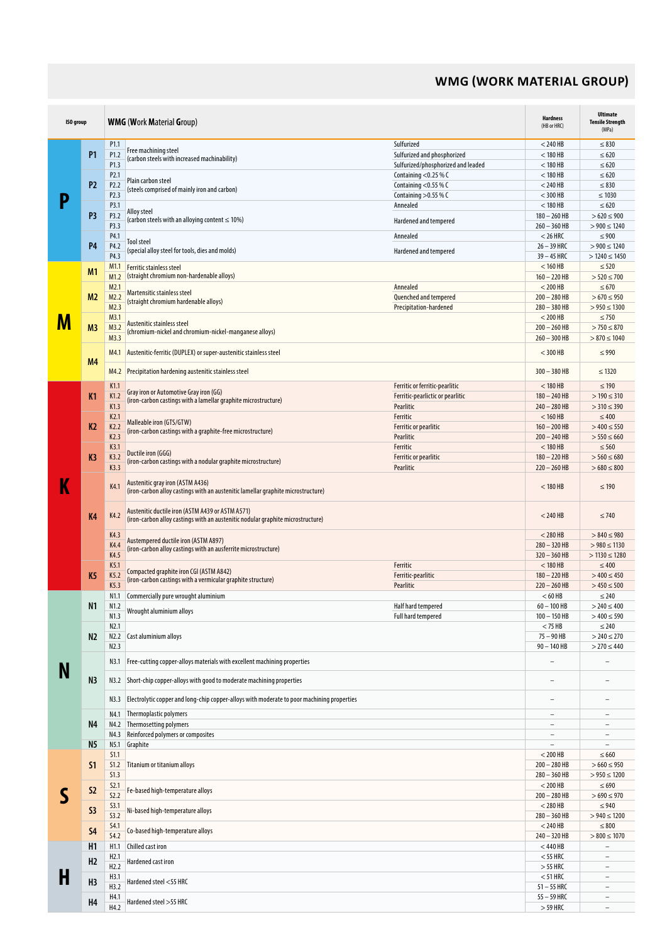### **WMG (WORK MATERIAL GROUP)**

| <b>ISO</b> group |                | <b>WMG (Work Material Group)</b> |                                                                                                                                     |                                    |                          | <b>Ultimate</b><br><b>Tensile Strength</b><br>(MPa) |
|------------------|----------------|----------------------------------|-------------------------------------------------------------------------------------------------------------------------------------|------------------------------------|--------------------------|-----------------------------------------------------|
|                  |                | P <sub>1.1</sub>                 |                                                                                                                                     | Sulfurized                         | $<$ 240 HB               | $\leq 830$                                          |
|                  | P1             | P1.2                             | Free machining steel                                                                                                                | Sulfurized and phosphorized        | $<$ 180 HB               | $\leq 620$                                          |
|                  |                | P1.3                             | (carbon steels with increased machinability)                                                                                        | Sulfurized/phosphorized and leaded | $<$ 180 HB               | $\leq 620$                                          |
| P                |                | P <sub>2.1</sub>                 |                                                                                                                                     | Containing <0.25 % C               | $<$ 180 HB               | $\leq 620$                                          |
|                  | P <sub>2</sub> | P <sub>2.2</sub>                 | Plain carbon steel                                                                                                                  | Containing $<$ 0.55 % C            | $<$ 240 HB               | $\leq 830$                                          |
|                  |                | P <sub>2.3</sub>                 | (steels comprised of mainly iron and carbon)                                                                                        | Containing $>0.55$ % C             | $<$ 300 HB               | $\leq 1030$                                         |
|                  |                | P3.1                             |                                                                                                                                     | Annealed                           | $<$ 180 HB               | $\leq 620$                                          |
|                  | P3             | P3.2                             | Alloy steel<br>(carbon steels with an alloying content $\leq 10\%$ )                                                                |                                    | $180 - 260$ HB           | $>620 \le 900$                                      |
|                  |                | P3.3                             |                                                                                                                                     | Hardened and tempered              | $260 - 360$ HB           | $> 900 \le 1240$                                    |
|                  |                | P4.1                             |                                                                                                                                     | Annealed                           | $< 26$ HRC               | $\leq 900$                                          |
|                  | P <sub>4</sub> | P4.2                             | Tool steel<br>(special alloy steel for tools, dies and molds)                                                                       |                                    | $26 - 39$ HRC            | $> 900 \le 1240$                                    |
|                  |                | P4.3                             |                                                                                                                                     | Hardened and tempered              | $39 - 45$ HRC            | $>1240 \le 1450$                                    |
|                  | M1             | M <sub>1.1</sub>                 | <b>Ferritic stainless steel</b>                                                                                                     |                                    | $< 160$ HB               | $\leq 520$                                          |
|                  |                | M1.2                             | (straight chromium non-hardenable alloys)                                                                                           |                                    | $160 - 220$ HB           | $> 520 \le 700$                                     |
|                  |                | M2.1                             | Martensitic stainless steel                                                                                                         | Annealed                           | $<$ 200 HB               | $\leq 670$                                          |
|                  | M2             | M2.2                             | (straight chromium hardenable alloys)                                                                                               | Quenched and tempered              | $200 - 280$ HB           | $>670 \le 950$                                      |
|                  |                | M2.3                             |                                                                                                                                     | Precipitation-hardened             | $280 - 380$ HB           | $> 950 \le 1300$                                    |
| M                |                | M3.1                             | Austenitic stainless steel                                                                                                          |                                    | $<$ 200 HB               | $\leq 750$                                          |
|                  | M <sub>3</sub> | M3.2                             | (chromium-nickel and chromium-nickel-manganese alloys)                                                                              |                                    | $200 - 260$ HB           | $> 750 \le 870$                                     |
|                  |                | M3.3                             |                                                                                                                                     |                                    | $260 - 300$ HB           | $> 870 \le 1040$                                    |
|                  | M <sub>4</sub> | M4.1                             | Austenitic-ferritic (DUPLEX) or super-austenitic stainless steel                                                                    |                                    | $<$ 300 HB               | $\leq 990$                                          |
|                  |                | M4.2                             | Precipitation hardening austenitic stainless steel                                                                                  |                                    | $300 - 380$ HB           | $\leq 1320$                                         |
|                  |                | K1.1                             | Gray iron or Automotive Gray iron (GG)                                                                                              | Ferritic or ferritic-pearlitic     | $<$ 180 HB               | $\leq 190$                                          |
|                  | K1             | K1.2                             | (iron-carbon castings with a lamellar graphite microstructure)                                                                      | Ferritic-pearlictic or pearlitic   | $180 - 240$ HB           | $> 190 \le 310$                                     |
|                  |                | K1.3                             |                                                                                                                                     | Pearlitic                          | $240 - 280$ HB           | $>310 \le 390$                                      |
|                  |                | K <sub>2.1</sub>                 | Malleable iron (GTS/GTW)                                                                                                            | Ferritic                           | $< 160$ HB               | $\leq 400$                                          |
|                  | K <sub>2</sub> | K2.2                             | (iron-carbon castings with a graphite-free microstructure)                                                                          | Ferritic or pearlitic              | $160 - 200$ HB           | $>400 \le 550$                                      |
|                  | K <sub>3</sub> | K2.3                             |                                                                                                                                     | Pearlitic                          | $200 - 240$ HB           | $> 550 \le 660$                                     |
|                  |                | K3.1                             | Ductile iron (GGG)                                                                                                                  | Ferritic                           | $<$ 180 HB               | $\leq 560$                                          |
|                  |                | K3.2                             | (iron-carbon castings with a nodular graphite microstructure)                                                                       | Ferritic or pearlitic              | $180 - 220$ HB           | $> 560 \le 680$                                     |
|                  |                | K3.3                             |                                                                                                                                     | Pearlitic                          | $220 - 260$ HB           | $>680 \leq 800$                                     |
| K                | K <sub>4</sub> | K4.1                             | Austenitic gray iron (ASTM A436)<br>(iron-carbon alloy castings with an austenitic lamellar graphite microstructure)                |                                    | $<$ 180 HB               | $\leq 190$                                          |
|                  |                | K4.2                             | Austenitic ductile iron (ASTM A439 or ASTM A571)<br>(iron-carbon alloy castings with an austenitic nodular graphite microstructure) |                                    | $<$ 240 HB               | $\leq 740$                                          |
|                  |                | K4.3                             | Austempered ductile iron (ASTM A897)                                                                                                |                                    | $<$ 280 HB               | $> 840 \le 980$                                     |
|                  |                | K4.4                             | (iron-carbon alloy castings with an ausferrite microstructure)                                                                      |                                    | $280 - 320$ HB           | $> 980 \le 1130$                                    |
|                  |                | K4.5                             |                                                                                                                                     |                                    | $320 - 360$ HB           | $>1130 \le 1280$                                    |
|                  |                | K5.1                             | Compacted graphite iron CGI (ASTM A842)                                                                                             | Ferritic                           | $<$ 180 HB               | $\leq 400$                                          |
|                  | K <sub>5</sub> | K5.2                             | (iron-carbon castings with a vermicular graphite structure)                                                                         | Ferritic-pearlitic                 | $180 - 220$ HB           | $>400 \le 450$                                      |
|                  |                | K5.3                             |                                                                                                                                     | Pearlitic                          | $220 - 260$ HB           | $> 450 \le 500$                                     |
|                  |                | N1.1                             | Commercially pure wrought aluminium                                                                                                 |                                    | $< 60$ HB                | $\leq 240$                                          |
|                  | N1             | N1.2                             | Wrought aluminium alloys                                                                                                            | Half hard tempered                 | $60 - 100$ HB            | $> 240 \le 400$                                     |
|                  |                | N1.3                             |                                                                                                                                     | Full hard tempered                 | $100 - 150$ HB           | $>400 \le 590$                                      |
|                  |                | N2.1                             |                                                                                                                                     |                                    | $<$ 75 HB                | $\leq 240$                                          |
|                  | N2             | N2.2                             | Cast aluminium alloys                                                                                                               |                                    | $75 - 90$ HB             | $> 240 \le 270$                                     |
|                  |                | N2.3                             |                                                                                                                                     | $90 - 140$ HB                      | $>$ 270 $\leq$ 440       |                                                     |
|                  |                | N3.1                             | Free-cutting copper-alloys materials with excellent machining properties                                                            |                                    |                          |                                                     |
|                  | N <sub>3</sub> | N3.2                             | Short-chip copper-alloys with good to moderate machining properties                                                                 |                                    | $\overline{\phantom{0}}$ |                                                     |
|                  |                | N3.3                             | Electrolytic copper and long-chip copper-alloys with moderate to poor machining properties                                          |                                    | $\overline{a}$           | $\overline{\phantom{0}}$                            |
|                  |                | N4.1                             | Thermoplastic polymers                                                                                                              |                                    | $\overline{\phantom{a}}$ | $\overline{\phantom{0}}$                            |
|                  | N <sub>4</sub> | N4.2                             | Thermosetting polymers                                                                                                              |                                    | $\overline{\phantom{a}}$ | $\qquad \qquad -$                                   |
|                  |                | N4.3                             | Reinforced polymers or composites                                                                                                   |                                    | $\overline{\phantom{a}}$ | $\overline{\phantom{0}}$                            |
|                  | N5             | N5.1                             | Graphite                                                                                                                            |                                    | $\overline{\phantom{a}}$ | $\overline{\phantom{a}}$                            |
|                  |                | S1.1                             |                                                                                                                                     |                                    | $<$ 200 HB               | $\leq 660$                                          |
|                  | S1             | S1.2                             | Titanium or titanium alloys                                                                                                         |                                    | $200 - 280$ HB           | $>660 \le 950$                                      |
|                  |                | S1.3                             |                                                                                                                                     |                                    | $280 - 360$ HB           | $> 950 \le 1200$                                    |
|                  |                | S2.1                             |                                                                                                                                     |                                    | $<$ 200 HB               | $\leq 690$                                          |
|                  | S <sub>2</sub> | 52.2                             | Fe-based high-temperature alloys                                                                                                    |                                    | $200 - 280$ HB           | $>690 \le 970$                                      |
|                  |                | S3.1                             |                                                                                                                                     |                                    | $<$ 280 HB               | $\leq 940$                                          |
|                  | S3             | 53.2                             | Ni-based high-temperature alloys                                                                                                    |                                    | $280 - 360$ HB           | $> 940 \le 1200$                                    |
|                  |                | <b>S4.1</b>                      |                                                                                                                                     |                                    | $<$ 240 HB               | $\leq 800$                                          |
|                  | <b>S4</b>      | 54.2                             | Co-based high-temperature alloys                                                                                                    |                                    | $240 - 320$ HB           | $> 800 \le 1070$                                    |
|                  | H1             | H <sub>1.1</sub>                 | Chilled cast iron                                                                                                                   |                                    | $<$ 440 HB               | ٠                                                   |
|                  |                | H2.1                             |                                                                                                                                     |                                    | $<$ 55 HRC               | $\overline{\phantom{a}}$                            |
|                  | H <sub>2</sub> | H2.2                             | Hardened cast iron                                                                                                                  |                                    | $>$ 55 HRC               | $\overline{\phantom{a}}$                            |
| Н                |                | H3.1                             |                                                                                                                                     |                                    | $<$ 51 HRC               | $\overline{a}$                                      |
|                  | H <sub>3</sub> | H3.2                             | Hardened steel <55 HRC                                                                                                              |                                    | $51 - 55$ HRC            |                                                     |
|                  |                | H4.1                             |                                                                                                                                     |                                    | $55 - 59$ HRC            | $\overline{\phantom{0}}$                            |
|                  | H <sub>4</sub> | H4.2                             | Hardened steel >55 HRC                                                                                                              |                                    | $>$ 59 HRC               | $\qquad \qquad -$                                   |
|                  |                |                                  |                                                                                                                                     |                                    |                          |                                                     |